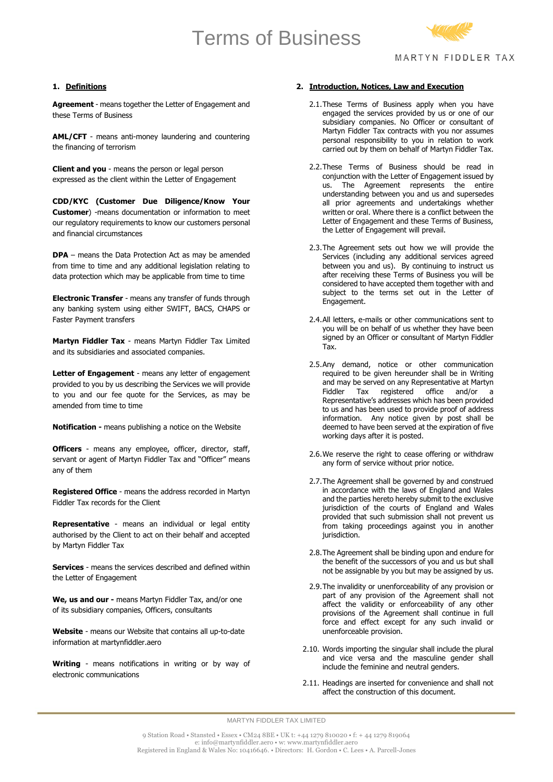# Terms of Business



## **1. Definitions**

**Agreement** - means together the Letter of Engagement and these Terms of Business

**AML/CFT** - means anti-money laundering and countering the financing of terrorism

**Client and you** - means the person or legal person expressed as the client within the Letter of Engagement

**CDD/KYC (Customer Due Diligence/Know Your Customer**) -means documentation or information to meet our regulatory requirements to know our customers personal and financial circumstances

**DPA** – means the Data Protection Act as may be amended from time to time and any additional legislation relating to data protection which may be applicable from time to time

**Electronic Transfer** - means any transfer of funds through any banking system using either SWIFT, BACS, CHAPS or Faster Payment transfers

**Martyn Fiddler Tax** - means Martyn Fiddler Tax Limited and its subsidiaries and associated companies.

Letter of Engagement - means any letter of engagement provided to you by us describing the Services we will provide to you and our fee quote for the Services, as may be amended from time to time

**Notification -** means publishing a notice on the Website

**Officers** - means any employee, officer, director, staff, servant or agent of Martyn Fiddler Tax and "Officer" means any of them

**Registered Office** - means the address recorded in Martyn Fiddler Tax records for the Client

**Representative** - means an individual or legal entity authorised by the Client to act on their behalf and accepted by Martyn Fiddler Tax

**Services** - means the services described and defined within the Letter of Engagement

**We, us and our -** means Martyn Fiddler Tax, and/or one of its subsidiary companies, Officers, consultants

**Website** - means our Website that contains all up-to-date information at martynfiddler.aero

**Writing** - means notifications in writing or by way of electronic communications

#### **2. Introduction, Notices, Law and Execution**

- 2.1.These Terms of Business apply when you have engaged the services provided by us or one of our subsidiary companies. No Officer or consultant of Martyn Fiddler Tax contracts with you nor assumes personal responsibility to you in relation to work carried out by them on behalf of Martyn Fiddler Tax.
- 2.2.These Terms of Business should be read in conjunction with the Letter of Engagement issued by us. The Agreement represents the entire understanding between you and us and supersedes all prior agreements and undertakings whether written or oral. Where there is a conflict between the Letter of Engagement and these Terms of Business, the Letter of Engagement will prevail.
- 2.3.The Agreement sets out how we will provide the Services (including any additional services agreed between you and us). By continuing to instruct us after receiving these Terms of Business you will be considered to have accepted them together with and subject to the terms set out in the Letter of Engagement.
- 2.4.All letters, e-mails or other communications sent to you will be on behalf of us whether they have been signed by an Officer or consultant of Martyn Fiddler Tax.
- 2.5.Any demand, notice or other communication required to be given hereunder shall be in Writing and may be served on any Representative at Martyn<br>Fiddler Tax registered office and/or a Fiddler Tax registered Representative's addresses which has been provided to us and has been used to provide proof of address information. Any notice given by post shall be deemed to have been served at the expiration of five working days after it is posted.
- 2.6. We reserve the right to cease offering or withdraw any form of service without prior notice.
- 2.7.The Agreement shall be governed by and construed in accordance with the laws of England and Wales and the parties hereto hereby submit to the exclusive jurisdiction of the courts of England and Wales provided that such submission shall not prevent us from taking proceedings against you in another jurisdiction.
- 2.8.The Agreement shall be binding upon and endure for the benefit of the successors of you and us but shall not be assignable by you but may be assigned by us.
- 2.9.The invalidity or unenforceability of any provision or part of any provision of the Agreement shall not affect the validity or enforceability of any other provisions of the Agreement shall continue in full force and effect except for any such invalid or unenforceable provision.
- 2.10. Words importing the singular shall include the plural and vice versa and the masculine gender shall include the feminine and neutral genders.
- 2.11. Headings are inserted for convenience and shall not affect the construction of this document.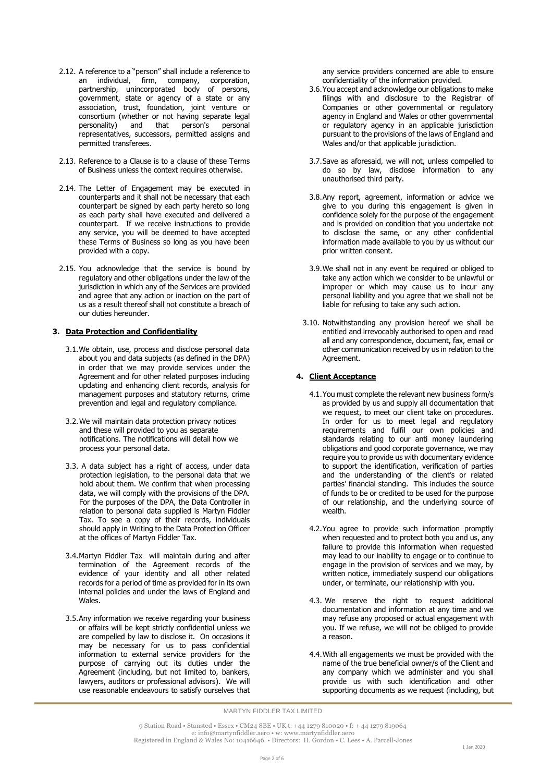- 2.12. A reference to a "person" shall include a reference to an individual, firm, company, corporation, partnership, unincorporated body of persons, government, state or agency of a state or any association, trust, foundation, joint venture or consortium (whether or not having separate legal personality) and that person's personal representatives, successors, permitted assigns and permitted transferees.
- 2.13. Reference to a Clause is to a clause of these Terms of Business unless the context requires otherwise.
- 2.14. The Letter of Engagement may be executed in counterparts and it shall not be necessary that each counterpart be signed by each party hereto so long as each party shall have executed and delivered a counterpart. If we receive instructions to provide any service, you will be deemed to have accepted these Terms of Business so long as you have been provided with a copy.
- 2.15. You acknowledge that the service is bound by regulatory and other obligations under the law of the jurisdiction in which any of the Services are provided and agree that any action or inaction on the part of us as a result thereof shall not constitute a breach of our duties hereunder.

# **3. Data Protection and Confidentiality**

- 3.1.We obtain, use, process and disclose personal data about you and data subjects (as defined in the DPA) in order that we may provide services under the Agreement and for other related purposes including updating and enhancing client records, analysis for management purposes and statutory returns, crime prevention and legal and regulatory compliance.
- 3.2.We will maintain data protection privacy notices and these will provided to you as separate notifications. The notifications will detail how we process your personal data.
- 3.3. A data subject has a right of access, under data protection legislation, to the personal data that we hold about them. We confirm that when processing data, we will comply with the provisions of the DPA. For the purposes of the DPA, the Data Controller in relation to personal data supplied is Martyn Fiddler Tax. To see a copy of their records, individuals should apply in Writing to the Data Protection Officer at the offices of Martyn Fiddler Tax.
- 3.4.Martyn Fiddler Tax will maintain during and after termination of the Agreement records of the evidence of your identity and all other related records for a period of time as provided for in its own internal policies and under the laws of England and Wales.
- 3.5.Any information we receive regarding your business or affairs will be kept strictly confidential unless we are compelled by law to disclose it. On occasions it may be necessary for us to pass confidential information to external service providers for the purpose of carrying out its duties under the Agreement (including, but not limited to, bankers, lawyers, auditors or professional advisors). We will use reasonable endeavours to satisfy ourselves that

any service providers concerned are able to ensure confidentiality of the information provided.

- 3.6.You accept and acknowledge our obligations to make filings with and disclosure to the Registrar of Companies or other governmental or regulatory agency in England and Wales or other governmental or regulatory agency in an applicable jurisdiction pursuant to the provisions of the laws of England and Wales and/or that applicable jurisdiction.
- 3.7.Save as aforesaid, we will not, unless compelled to do so by law, disclose information to any unauthorised third party.
- 3.8.Any report, agreement, information or advice we give to you during this engagement is given in confidence solely for the purpose of the engagement and is provided on condition that you undertake not to disclose the same, or any other confidential information made available to you by us without our prior written consent.
- 3.9.We shall not in any event be required or obliged to take any action which we consider to be unlawful or improper or which may cause us to incur any personal liability and you agree that we shall not be liable for refusing to take any such action.
- 3.10. Notwithstanding any provision hereof we shall be entitled and irrevocably authorised to open and read all and any correspondence, document, fax, email or other communication received by us in relation to the Agreement.

#### **4. Client Acceptance**

- 4.1.You must complete the relevant new business form/s as provided by us and supply all documentation that we request, to meet our client take on procedures. In order for us to meet legal and regulatory requirements and fulfil our own policies and standards relating to our anti money laundering obligations and good corporate governance, we may require you to provide us with documentary evidence to support the identification, verification of parties and the understanding of the client's or related parties' financial standing. This includes the source of funds to be or credited to be used for the purpose of our relationship, and the underlying source of wealth.
- 4.2.You agree to provide such information promptly when requested and to protect both you and us, any failure to provide this information when requested may lead to our inability to engage or to continue to engage in the provision of services and we may, by written notice, immediately suspend our obligations under, or terminate, our relationship with you.
- 4.3. We reserve the right to request additional documentation and information at any time and we may refuse any proposed or actual engagement with you. If we refuse, we will not be obliged to provide a reason.
- 4.4.With all engagements we must be provided with the name of the true beneficial owner/s of the Client and any company which we administer and you shall provide us with such identification and other supporting documents as we request (including, but

MARTYN FIDDLER TAX LIMITED

9 Station Road • Stansted • Essex • CM24 8BE • UK t: +44 1279 810020 • f: + 44 1279 819064 e: info@martynfiddler.aero • w: [www.martynfiddler.aero](http://www.martynfiddler.aero/) Registered in England & Wales No: 10416646. • Directors: H. Gordon • C. Lees • A. Parcell-Jones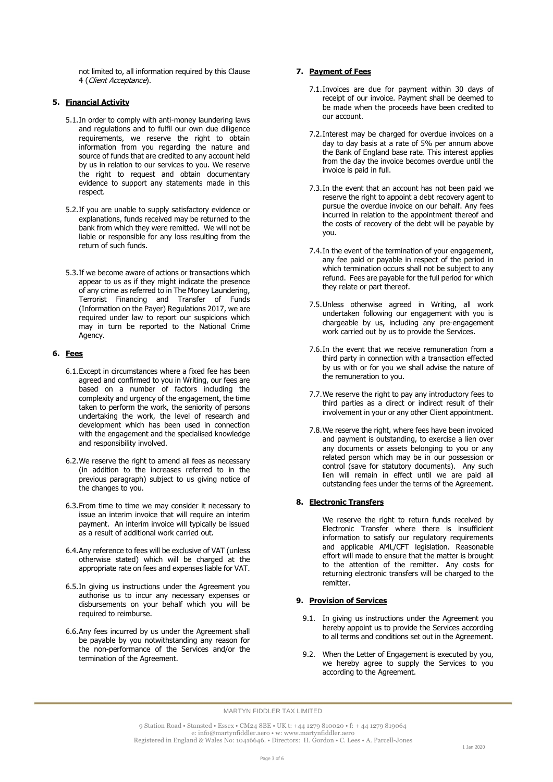not limited to, all information required by this Clause 4 (Client Acceptance).

## **5. Financial Activity**

- 5.1.In order to comply with anti-money laundering laws and regulations and to fulfil our own due diligence requirements, we reserve the right to obtain information from you regarding the nature and source of funds that are credited to any account held by us in relation to our services to you. We reserve the right to request and obtain documentary evidence to support any statements made in this respect.
- 5.2.If you are unable to supply satisfactory evidence or explanations, funds received may be returned to the bank from which they were remitted. We will not be liable or responsible for any loss resulting from the return of such funds.
- 5.3.If we become aware of actions or transactions which appear to us as if they might indicate the presence of any crime as referred to in The Money Laundering, Terrorist Financing and Transfer of Funds (Information on the Payer) Regulations 2017, we are required under law to report our suspicions which may in turn be reported to the National Crime Agency.

# **6. Fees**

- 6.1.Except in circumstances where a fixed fee has been agreed and confirmed to you in Writing, our fees are based on a number of factors including the complexity and urgency of the engagement, the time taken to perform the work, the seniority of persons undertaking the work, the level of research and development which has been used in connection with the engagement and the specialised knowledge and responsibility involved.
- 6.2.We reserve the right to amend all fees as necessary (in addition to the increases referred to in the previous paragraph) subject to us giving notice of the changes to you.
- 6.3.From time to time we may consider it necessary to issue an interim invoice that will require an interim payment. An interim invoice will typically be issued as a result of additional work carried out.
- 6.4.Any reference to fees will be exclusive of VAT (unless otherwise stated) which will be charged at the appropriate rate on fees and expenses liable for VAT.
- 6.5.In giving us instructions under the Agreement you authorise us to incur any necessary expenses or disbursements on your behalf which you will be required to reimburse.
- 6.6.Any fees incurred by us under the Agreement shall be payable by you notwithstanding any reason for the non-performance of the Services and/or the termination of the Agreement.

# **7. Payment of Fees**

- 7.1.Invoices are due for payment within 30 days of receipt of our invoice. Payment shall be deemed to be made when the proceeds have been credited to our account.
- 7.2.Interest may be charged for overdue invoices on a day to day basis at a rate of 5% per annum above the Bank of England base rate. This interest applies from the day the invoice becomes overdue until the invoice is paid in full.
- 7.3.In the event that an account has not been paid we reserve the right to appoint a debt recovery agent to pursue the overdue invoice on our behalf. Any fees incurred in relation to the appointment thereof and the costs of recovery of the debt will be payable by you.
- 7.4.In the event of the termination of your engagement, any fee paid or payable in respect of the period in which termination occurs shall not be subject to any refund. Fees are payable for the full period for which they relate or part thereof.
- 7.5.Unless otherwise agreed in Writing, all work undertaken following our engagement with you is chargeable by us, including any pre-engagement work carried out by us to provide the Services.
- 7.6.In the event that we receive remuneration from a third party in connection with a transaction effected by us with or for you we shall advise the nature of the remuneration to you.
- 7.7.We reserve the right to pay any introductory fees to third parties as a direct or indirect result of their involvement in your or any other Client appointment.
- 7.8.We reserve the right, where fees have been invoiced and payment is outstanding, to exercise a lien over any documents or assets belonging to you or any related person which may be in our possession or control (save for statutory documents). Any such lien will remain in effect until we are paid all outstanding fees under the terms of the Agreement.

## **8. Electronic Transfers**

We reserve the right to return funds received by Electronic Transfer where there is insufficient information to satisfy our regulatory requirements and applicable AML/CFT legislation. Reasonable effort will made to ensure that the matter is brought to the attention of the remitter. Any costs for returning electronic transfers will be charged to the remitter.

## **9. Provision of Services**

- 9.1. In giving us instructions under the Agreement you hereby appoint us to provide the Services according to all terms and conditions set out in the Agreement.
- 9.2. When the Letter of Engagement is executed by you, we hereby agree to supply the Services to you according to the Agreement.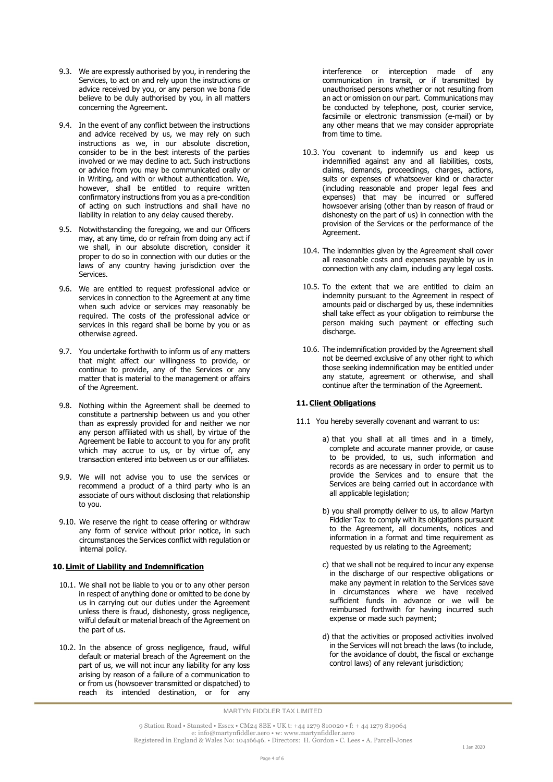- 9.3. We are expressly authorised by you, in rendering the Services, to act on and rely upon the instructions or advice received by you, or any person we bona fide believe to be duly authorised by you, in all matters concerning the Agreement.
- 9.4. In the event of any conflict between the instructions and advice received by us, we may rely on such instructions as we, in our absolute discretion, consider to be in the best interests of the parties involved or we may decline to act. Such instructions or advice from you may be communicated orally or in Writing, and with or without authentication. We, however, shall be entitled to require written confirmatory instructions from you as a pre-condition of acting on such instructions and shall have no liability in relation to any delay caused thereby.
- 9.5. Notwithstanding the foregoing, we and our Officers may, at any time, do or refrain from doing any act if we shall, in our absolute discretion, consider it proper to do so in connection with our duties or the laws of any country having jurisdiction over the Services.
- 9.6. We are entitled to request professional advice or services in connection to the Agreement at any time when such advice or services may reasonably be required. The costs of the professional advice or services in this regard shall be borne by you or as otherwise agreed.
- 9.7. You undertake forthwith to inform us of any matters that might affect our willingness to provide, or continue to provide, any of the Services or any matter that is material to the management or affairs of the Agreement.
- 9.8. Nothing within the Agreement shall be deemed to constitute a partnership between us and you other than as expressly provided for and neither we nor any person affiliated with us shall, by virtue of the Agreement be liable to account to you for any profit which may accrue to us, or by virtue of, any transaction entered into between us or our affiliates.
- 9.9. We will not advise you to use the services or recommend a product of a third party who is an associate of ours without disclosing that relationship to you.
- 9.10. We reserve the right to cease offering or withdraw any form of service without prior notice, in such circumstances the Services conflict with regulation or internal policy.

### **10. Limit of Liability and Indemnification**

- 10.1. We shall not be liable to you or to any other person in respect of anything done or omitted to be done by us in carrying out our duties under the Agreement unless there is fraud, dishonesty, gross negligence, wilful default or material breach of the Agreement on the part of us.
- 10.2. In the absence of gross negligence, fraud, wilful default or material breach of the Agreement on the part of us, we will not incur any liability for any loss arising by reason of a failure of a communication to or from us (howsoever transmitted or dispatched) to reach its intended destination, or for any

interference or interception made of any communication in transit, or if transmitted by unauthorised persons whether or not resulting from an act or omission on our part. Communications may be conducted by telephone, post, courier service, facsimile or electronic transmission (e-mail) or by any other means that we may consider appropriate from time to time.

- 10.3. You covenant to indemnify us and keep us indemnified against any and all liabilities, costs, claims, demands, proceedings, charges, actions, suits or expenses of whatsoever kind or character (including reasonable and proper legal fees and expenses) that may be incurred or suffered howsoever arising (other than by reason of fraud or dishonesty on the part of us) in connection with the provision of the Services or the performance of the Agreement.
- 10.4. The indemnities given by the Agreement shall cover all reasonable costs and expenses payable by us in connection with any claim, including any legal costs.
- 10.5. To the extent that we are entitled to claim an indemnity pursuant to the Agreement in respect of amounts paid or discharged by us, these indemnities shall take effect as your obligation to reimburse the person making such payment or effecting such discharge.
- 10.6. The indemnification provided by the Agreement shall not be deemed exclusive of any other right to which those seeking indemnification may be entitled under any statute, agreement or otherwise, and shall continue after the termination of the Agreement.

### **11.Client Obligations**

- 11.1 You hereby severally covenant and warrant to us:
	- a) that you shall at all times and in a timely, complete and accurate manner provide, or cause to be provided, to us, such information and records as are necessary in order to permit us to provide the Services and to ensure that the Services are being carried out in accordance with all applicable legislation;
	- b) you shall promptly deliver to us, to allow Martyn Fiddler Tax to comply with its obligations pursuant to the Agreement, all documents, notices and information in a format and time requirement as requested by us relating to the Agreement;
	- c) that we shall not be required to incur any expense in the discharge of our respective obligations or make any payment in relation to the Services save in circumstances where we have received sufficient funds in advance or we will be reimbursed forthwith for having incurred such expense or made such payment;
	- d) that the activities or proposed activities involved in the Services will not breach the laws (to include, for the avoidance of doubt, the fiscal or exchange control laws) of any relevant jurisdiction;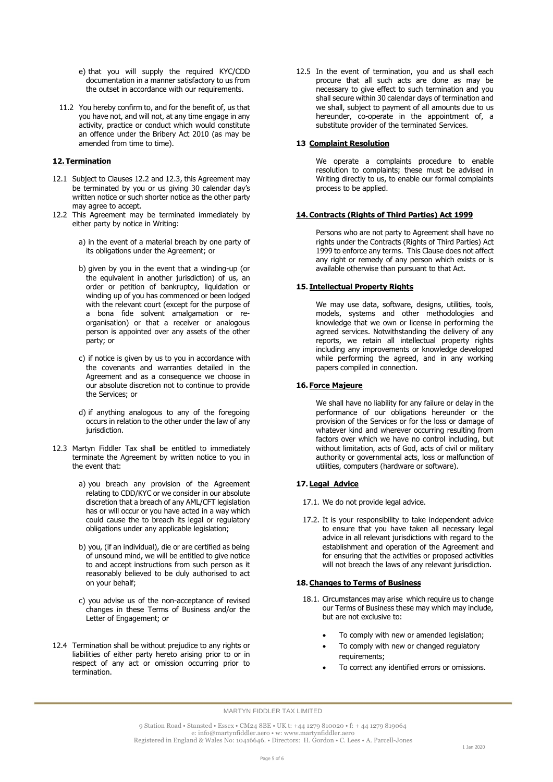- e) that you will supply the required KYC/CDD documentation in a manner satisfactory to us from the outset in accordance with our requirements.
- 11.2 You hereby confirm to, and for the benefit of, us that you have not, and will not, at any time engage in any activity, practice or conduct which would constitute an offence under the Bribery Act 2010 (as may be amended from time to time).

## **12. Termination**

- 12.1 Subject to Clauses 12.2 and 12.3, this Agreement may be terminated by you or us giving 30 calendar day's written notice or such shorter notice as the other party may agree to accept.
- 12.2 This Agreement may be terminated immediately by either party by notice in Writing:
	- a) in the event of a material breach by one party of its obligations under the Agreement; or
	- b) given by you in the event that a winding-up (or the equivalent in another jurisdiction) of us, an order or petition of bankruptcy, liquidation or winding up of you has commenced or been lodged with the relevant court (except for the purpose of a bona fide solvent amalgamation or reorganisation) or that a receiver or analogous person is appointed over any assets of the other party; or
	- c) if notice is given by us to you in accordance with the covenants and warranties detailed in the Agreement and as a consequence we choose in our absolute discretion not to continue to provide the Services; or
	- d) if anything analogous to any of the foregoing occurs in relation to the other under the law of any jurisdiction.
- 12.3 Martyn Fiddler Tax shall be entitled to immediately terminate the Agreement by written notice to you in the event that:
	- a) you breach any provision of the Agreement relating to CDD/KYC or we consider in our absolute discretion that a breach of any AML/CFT legislation has or will occur or you have acted in a way which could cause the to breach its legal or regulatory obligations under any applicable legislation;
	- b) you, (if an individual), die or are certified as being of unsound mind, we will be entitled to give notice to and accept instructions from such person as it reasonably believed to be duly authorised to act on your behalf;
	- c) you advise us of the non-acceptance of revised changes in these Terms of Business and/or the Letter of Engagement; or
- 12.4 Termination shall be without prejudice to any rights or liabilities of either party hereto arising prior to or in respect of any act or omission occurring prior to termination.

12.5 In the event of termination, you and us shall each procure that all such acts are done as may be necessary to give effect to such termination and you shall secure within 30 calendar days of termination and we shall, subject to payment of all amounts due to us hereunder, co-operate in the appointment of, a substitute provider of the terminated Services.

### **13 Complaint Resolution**

We operate a complaints procedure to enable resolution to complaints; these must be advised in Writing directly to us, to enable our formal complaints process to be applied.

#### **14.Contracts (Rights of Third Parties) Act 1999**

Persons who are not party to Agreement shall have no rights under the Contracts (Rights of Third Parties) Act 1999 to enforce any terms. This Clause does not affect any right or remedy of any person which exists or is available otherwise than pursuant to that Act.

#### **15. Intellectual Property Rights**

We may use data, software, designs, utilities, tools, models, systems and other methodologies and knowledge that we own or license in performing the agreed services. Notwithstanding the delivery of any reports, we retain all intellectual property rights including any improvements or knowledge developed while performing the agreed, and in any working papers compiled in connection.

### **16. Force Majeure**

We shall have no liability for any failure or delay in the performance of our obligations hereunder or the provision of the Services or for the loss or damage of whatever kind and wherever occurring resulting from factors over which we have no control including, but without limitation, acts of God, acts of civil or military authority or governmental acts, loss or malfunction of utilities, computers (hardware or software).

## **17. Legal Advice**

- 17.1. We do not provide legal advice.
- 17.2. It is your responsibility to take independent advice to ensure that you have taken all necessary legal advice in all relevant jurisdictions with regard to the establishment and operation of the Agreement and for ensuring that the activities or proposed activities will not breach the laws of any relevant jurisdiction.

## **18.Changes to Terms of Business**

- 18.1. Circumstances may arise which require us to change our Terms of Business these may which may include, but are not exclusive to:
	- To comply with new or amended legislation;
	- To comply with new or changed regulatory requirements;
	- To correct any identified errors or omissions.

9 Station Road • Stansted • Essex • CM24 8BE • UK t: +44 1279 810020 • f: + 44 1279 819064 e: info@martynfiddler.aero • w: [www.martynfiddler.aero](http://www.martynfiddler.aero/) Registered in England & Wales No: 10416646. • Directors: H. Gordon • C. Lees • A. Parcell-Jones